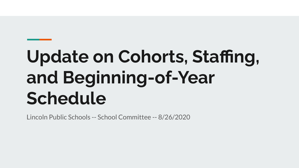# **Update on Cohorts, Staffing, and Beginning-of-Year Schedule**

Lincoln Public Schools -- School Committee -- 8/26/2020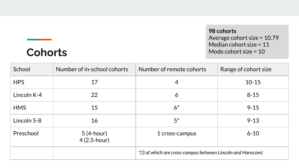### **98 cohorts** Average cohort size = 10.79 Median cohort size = 11 Mode cohort size = 10

### **Cohorts**

| School      | Number of in-school cohorts | Number of remote cohorts                                   | Range of cohort size |  |
|-------------|-----------------------------|------------------------------------------------------------|----------------------|--|
| <b>HPS</b>  | 17                          | $\overline{4}$                                             | $10 - 15$            |  |
| Lincoln K-4 | 22                          | 6                                                          | $8 - 15$             |  |
| <b>HMS</b>  | 15                          | $6*$                                                       | $9 - 15$             |  |
| Lincoln 5-8 | 16                          | $5^*$                                                      | $9 - 13$             |  |
| Preschool   | $5(4-hour)$<br>4 (2.5-hour) | 1 cross-campus                                             | $6 - 10$             |  |
|             |                             | *(3 of which are cross-campus between Lincoln and Hanscom) |                      |  |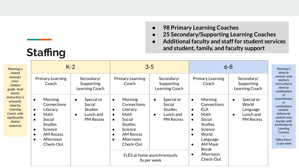- **● 98 Primary Learning Coaches**
- **● 25 Secondary/Supporting Learning Coaches**

**● Additional faculty and staff for student services and student, family, and faculty support**

| Planning is<br>shared<br>amongst<br>cross-<br>campus<br>grade-level<br>teams:<br>instruction is<br>primarily<br>done by<br>Learning<br>Coach, with<br>significantly<br>shared<br>resources | $K-2$                                                                                                                                                                                                                             |                                                                                                   | $3 - 5$                                                                                                                                                                                                                    |                                                                                                                                                 | $6 - 8$                                                                                                                                                                                                                                                                      |                                                                                            | Planning is<br>done by                                                                                                                                                                               |
|--------------------------------------------------------------------------------------------------------------------------------------------------------------------------------------------|-----------------------------------------------------------------------------------------------------------------------------------------------------------------------------------------------------------------------------------|---------------------------------------------------------------------------------------------------|----------------------------------------------------------------------------------------------------------------------------------------------------------------------------------------------------------------------------|-------------------------------------------------------------------------------------------------------------------------------------------------|------------------------------------------------------------------------------------------------------------------------------------------------------------------------------------------------------------------------------------------------------------------------------|--------------------------------------------------------------------------------------------|------------------------------------------------------------------------------------------------------------------------------------------------------------------------------------------------------|
|                                                                                                                                                                                            | Primary Learning<br>Coach                                                                                                                                                                                                         | Secondary/<br>Supporting<br>Learning Coach                                                        | Primary Learning<br>Coach                                                                                                                                                                                                  | Secondary/<br>Supporting<br>Learning Coach                                                                                                      | Primary Learning<br>Coach                                                                                                                                                                                                                                                    | Secondary/<br>Supporting<br>Learning Coach                                                 | content-area<br>teachers:<br><i>instruction is</i><br>done by<br>combination                                                                                                                         |
|                                                                                                                                                                                            | Morning<br>$\bullet$<br><b>Connections</b><br>Literacy<br>$\bullet$<br>Math<br>$\bullet$<br>Social<br>$\bullet$<br><b>Studies</b><br>Science<br>$\bullet$<br><b>AM Recess</b><br>$\bullet$<br>Afternoon<br>$\bullet$<br>Check-Out | Special or<br>$\bullet$<br>Social<br><b>Studies</b><br>Lunch and<br>$\bullet$<br><b>PM Recess</b> | <b>Morning</b><br>$\bullet$<br>Connections<br>Literacy<br>$\bullet$<br>Math<br>$\bullet$<br>Social<br>$\bullet$<br><b>Studies</b><br>Science<br>$\bullet$<br>AM Recess<br>$\bullet$<br>Afternoon<br>$\bullet$<br>Check-Out | Special or<br>$\bullet$<br>Social<br><b>Studies</b><br>Lunch and<br>$\bullet$<br><b>PM Recess</b><br>FLES at home asynchronously<br>3x per week | <b>Morning</b><br>$\bullet$<br><b>Connections</b><br><b>ELA</b><br>$\bullet$<br>Math<br>$\bullet$<br>Social<br>$\bullet$<br><b>Studies</b><br>Science<br>$\bullet$<br>World<br>$\bullet$<br>Language<br>AM Mask<br>$\bullet$<br>Break<br>Afternoon<br>$\bullet$<br>Check-Out | Special or<br>$\bullet$<br>World<br>Language<br>Lunch and<br>$\bullet$<br><b>PM Recess</b> | <sub>of</sub><br>asynchronous<br><b>or</b><br>synchronous<br>content-<br>delivery by<br>content-area<br>teacher with<br>facilitation by<br>Learning<br>Coaches<br><b>Office Hours</b><br>1x per week |

**Staffing**